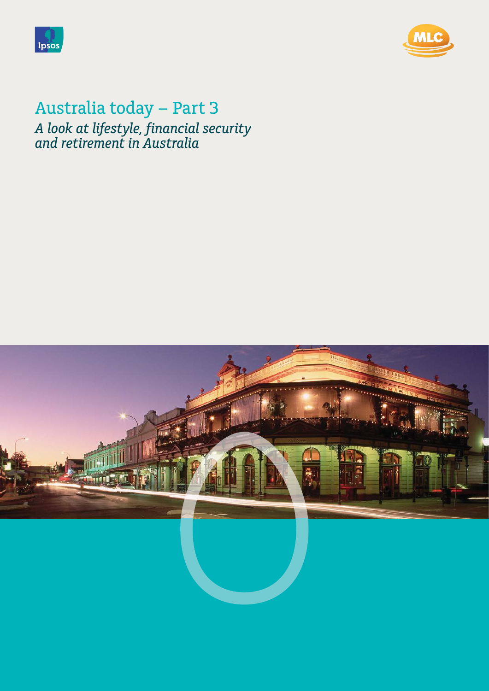



# Australia today – Part 3 **Print: CMYK C 90 % - M 80 % C 94 % - Y 43 %***A look at lifestyle, financial security and retirement in Australia*

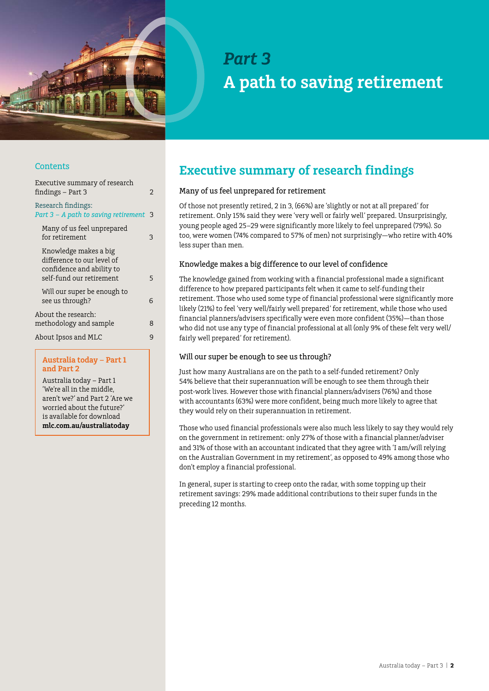

# *Part 3* **A path to saving retirement**

## **Contents**

| Executive summary of research<br>findings - Part 3                                                           | 2 |
|--------------------------------------------------------------------------------------------------------------|---|
| Research findings:<br>Part 3 - A path to saving retirement 3                                                 |   |
| Many of us feel unprepared<br>for retirement                                                                 | 3 |
| Knowledge makes a big<br>difference to our level of<br>confidence and ability to<br>self-fund our retirement | 5 |
| Will our super be enough to<br>see us through?                                                               | 6 |
| About the research:<br>methodology and sample                                                                | 8 |
| About Ipsos and MLC                                                                                          | 9 |
|                                                                                                              |   |

#### **Australia today – Part 1 and Part 2**

Australia today – Part 1 'We're all in the middle, aren't we?' and Part 2 'Are we worried about the future?' is available for download **[mlc.com.au/australiatoday](http://www.mlc.com.au/australiatoday)**

# **Executive summary of research findings**

### Many of us feel unprepared for retirement

Of those not presently retired, 2 in 3, (66%) are 'slightly or not at all prepared' for retirement. Only 15% said they were 'very well or fairly well' prepared. Unsurprisingly, young people aged 25–29 were significantly more likely to feel unprepared (79%). So too, were women (74% compared to 57% of men) not surprisingly—who retire with 40% less super than men.

### Knowledge makes a big difference to our level of confidence

The knowledge gained from working with a financial professional made a significant difference to how prepared participants felt when it came to self-funding their retirement. Those who used some type of financial professional were significantly more likely (21%) to feel 'very well/fairly well prepared' for retirement, while those who used financial planners/advisers specifically were even more confident (35%)—than those who did not use any type of financial professional at all (only 9% of these felt very well/ fairly well prepared' for retirement).

#### Will our super be enough to see us through?

Just how many Australians are on the path to a self-funded retirement? Only 54% believe that their superannuation will be enough to see them through their post-work lives. However those with financial planners/advisers (76%) and those with accountants (63%) were more confident, being much more likely to agree that they would rely on their superannuation in retirement.

Those who used financial professionals were also much less likely to say they would rely on the government in retirement: only 27% of those with a financial planner/adviser and 31% of those with an accountant indicated that they agree with 'I am/will relying on the Australian Government in my retirement', as opposed to 49% among those who don't employ a financial professional.

In general, super is starting to creep onto the radar, with some topping up their retirement savings: 29% made additional contributions to their super funds in the preceding 12 months.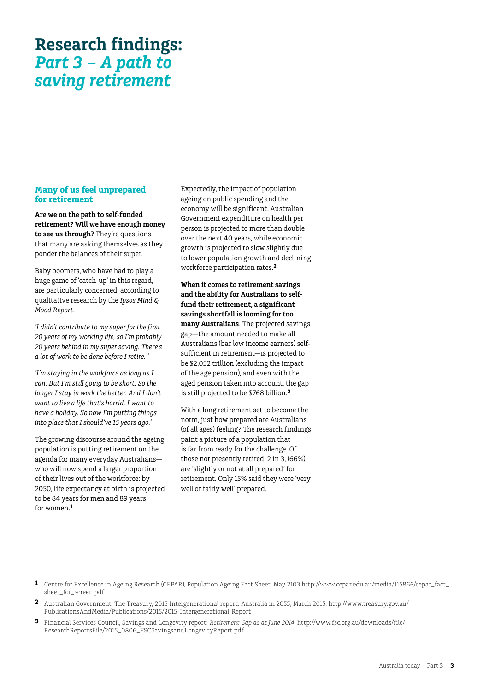## <span id="page-2-0"></span>**Many of us feel unprepared for retirement**

**Are we on the path to self-funded retirement? Will we have enough money to see us through?** They're questions that many are asking themselves as they ponder the balances of their super.

Baby boomers, who have had to play a huge game of 'catch-up' in this regard, are particularly concerned, according to qualitative research by the *Ipsos Mind & Mood Report*.

*'I didn't contribute to my super for the first 20 years of my working life, so I'm probably 20 years behind in my super saving. There's a lot of work to be done before I retire. '*

*'I'm staying in the workforce as long as I can. But I'm still going to be short. So the longer I stay in work the better. And I don't want to live a life that's horrid. I want to have a holiday. So now I'm putting things into place that I should've 15 years ago.'*

The growing discourse around the ageing population is putting retirement on the agenda for many everyday Australians who will now spend a larger proportion of their lives out of the workforce: by 2050, life expectancy at birth is projected to be 84 years for men and 89 years for women.**<sup>1</sup>**

Expectedly, the impact of population ageing on public spending and the economy will be significant. Australian Government expenditure on health per person is projected to more than double over the next 40 years, while economic growth is projected to slow slightly due to lower population growth and declining workforce participation rates.**<sup>2</sup>**

**When it comes to retirement savings and the ability for Australians to selffund their retirement, a significant savings shortfall is looming for too many Australians**. The projected savings gap—the amount needed to make all Australians (bar low income earners) selfsufficient in retirement—is projected to be \$2.052 trillion (excluding the impact of the age pension), and even with the aged pension taken into account, the gap is still projected to be \$768 billion.**<sup>3</sup>**

With a long retirement set to become the norm, just how prepared are Australians (of all ages) feeling? The research findings paint a picture of a population that is far from ready for the challenge. Of those not presently retired, 2 in 3, (66%) are 'slightly or not at all prepared' for retirement. Only 15% said they were 'very well or fairly well' prepared.

- **1** Centre for Excellence in Ageing Research (CEPAR), Population Ageing Fact Sheet, May 2103 http://www.cepar.edu.au/media/115866/cepar\_fact\_ sheet\_for\_screen.pdf
- **2** Australian Government, The Treasury, 2015 Intergenerational report: Australia in 2055, March 2015, http://www.treasury.gov.au/ PublicationsAndMedia/Publications/2015/2015-Intergenerational-Report
- **3** Financial Services Council, Savings and Longevity report: *Retirement Gap as at June 2014*. http://www.fsc.org.au/downloads/file/ ResearchReportsFile/2015\_0806\_FSCSavingsandLongevityReport.pdf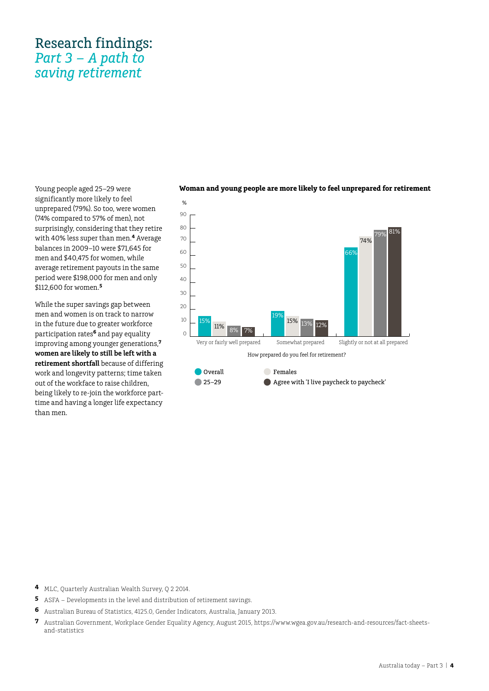Young people aged 25–29 were significantly more likely to feel unprepared (79%). So too, were women (74% compared to 57% of men), not surprisingly, considering that they retire with 40% less super than men.**<sup>4</sup>** Average balances in 2009–10 were \$71,645 for men and \$40,475 for women, while average retirement payouts in the same period were \$198,000 for men and only \$112,600 for women.**<sup>5</sup>**

While the super savings gap between men and women is on track to narrow in the future due to greater workforce participation rates**6** and pay equality improving among younger generations,**<sup>7</sup> women are likely to still be left with a retirement shortfall** because of differing work and longevity patterns; time taken out of the workface to raise children, being likely to re-join the workforce parttime and having a longer life expectancy than men.

#### **Woman and young people are more likely to feel unprepared for retirement**



- **4** MLC, Quarterly Australian Wealth Survey, Q 2 2014.
- **5** ASFA Developments in the level and distribution of retirement savings.
- **6** Australian Bureau of Statistics, 4125.0, Gender Indicators, Australia, January 2013.
- **7** Australian Government, Workplace Gender Equality Agency, August 2015, https://www.wgea.gov.au/research-and-resources/fact-sheetsand-statistics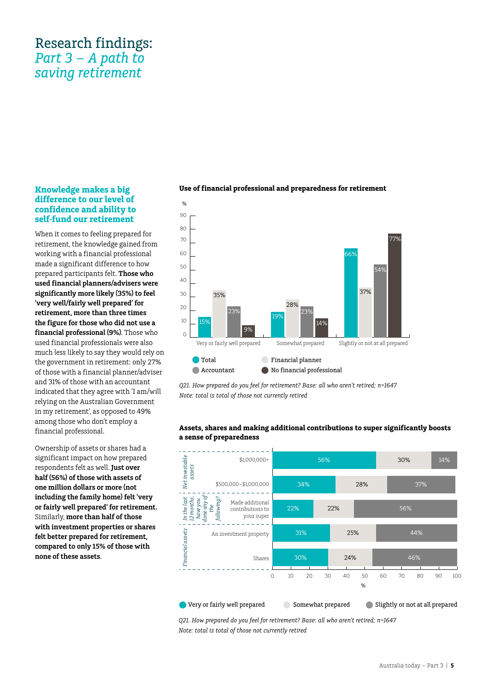## <span id="page-4-0"></span>**Knowledge makes a big difference to our level of confidence and ability to self-fund our retirement**

When it comes to feeling prepared for retirement, the knowledge gained from working with a financial professional made a significant difference to how prepared participants felt. **Those who used financial planners/advisers were significantly more likely (35%) to feel 'very well/fairly well prepared' for retirement, more than three times the figure for those who did not use a financial professional (9%)**. Those who used financial professionals were also much less likely to say they would rely on the government in retirement: only 27% of those with a financial planner/adviser and 31% of those with an accountant indicated that they agree with 'I am/will relying on the Australian Government in my retirement', as opposed to 49% among those who don't employ a financial professional.

Ownership of assets or shares had a significant impact on how prepared respondents felt as well. **Just over half (56%) of those with assets of one million dollars or more (not including the family home) felt 'very or fairly well prepared' for retirement.**  Similarly, **more than half of those with investment properties or shares felt better prepared for retirement, compared to only 15% of those with none of these assets**.



#### **Use of financial professional and preparedness for retirement**

*Q21. How prepared do you feel for retirement? Base: all who aren't retired; n=1647 Note: total is total of those not currently retired* 

#### **Assets, shares and making additional contributions to super significantly boosts a sense of preparedness**



*Q21. How prepared do you feel for retirement? Base: all who aren't retired; n=1647 Note: total is total of those not currently retired*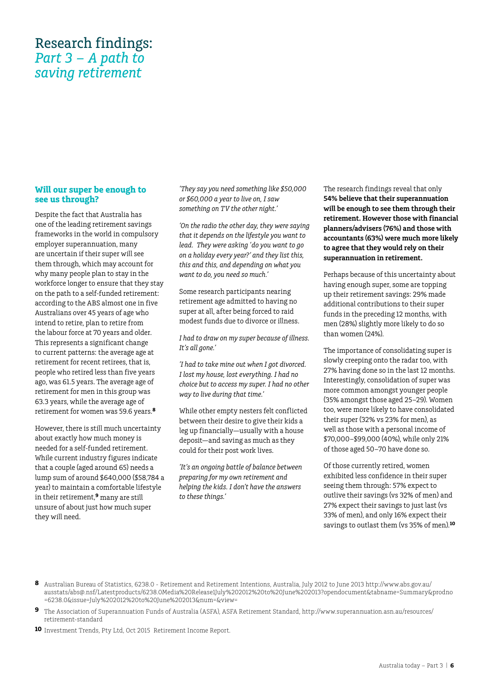## <span id="page-5-0"></span>**Will our super be enough to see us through?**

Despite the fact that Australia has one of the leading retirement savings frameworks in the world in compulsory employer superannuation, many are uncertain if their super will see them through, which may account for why many people plan to stay in the workforce longer to ensure that they stay on the path to a self-funded retirement: according to the ABS almost one in five Australians over 45 years of age who intend to retire, plan to retire from the labour force at 70 years and older. This represents a significant change to current patterns: the average age at retirement for recent retirees, that is, people who retired less than five years ago, was 61.5 years. The average age of retirement for men in this group was 63.3 years, while the average age of retirement for women was 59.6 years.**<sup>8</sup>**

However, there is still much uncertainty about exactly how much money is needed for a self-funded retirement. While current industry figures indicate that a couple (aged around 65) needs a lump sum of around \$640,000 (\$58,784 a year) to maintain a comfortable lifestyle in their retirement,**<sup>9</sup>** many are still unsure of about just how much super they will need.

*'They say you need something like \$50,000 or \$60,000 a year to live on, I saw something on TV the other night.'*

*'On the radio the other day, they were saying that it depends on the lifestyle you want to lead. They were asking 'do you want to go on a holiday every year?' and they list this, this and this, and depending on what you want to do, you need so much.'*

Some research participants nearing retirement age admitted to having no super at all, after being forced to raid modest funds due to divorce or illness.

*I had to draw on my super because of illness. It's all gone.'* 

*'I had to take mine out when I got divorced. I lost my house, lost everything. I had no choice but to access my super. I had no other way to live during that time.'* 

While other empty nesters felt conflicted between their desire to give their kids a leg up financially—usually with a house deposit—and saving as much as they could for their post work lives.

*'It's an ongoing battle of balance between preparing for my own retirement and helping the kids. I don't have the answers to these things.'*

The research findings reveal that only **54% believe that their superannuation will be enough to see them through their retirement. However those with financial planners/advisers (76%) and those with accountants (63%) were much more likely to agree that they would rely on their superannuation in retirement.** 

Perhaps because of this uncertainty about having enough super, some are topping up their retirement savings: 29% made additional contributions to their super funds in the preceding 12 months, with men (28%) slightly more likely to do so than women (24%).

The importance of consolidating super is slowly creeping onto the radar too, with 27% having done so in the last 12 months. Interestingly, consolidation of super was more common amongst younger people (35% amongst those aged 25–29). Women too, were more likely to have consolidated their super (32% vs 23% for men), as well as those with a personal income of \$70,000–\$99,000 (40%), while only 21% of those aged 50–70 have done so.

Of those currently retired, women exhibited less confidence in their super seeing them through: 57% expect to outlive their savings (vs 32% of men) and 27% expect their savings to just last (vs 33% of men), and only 16% expect their savings to outlast them (vs 35% of men).**10**

- **8** Australian Bureau of Statistics, 6238.0 Retirement and Retirement Intentions, Australia, July 2012 to June 2013 http://www.abs.gov.au/ ausstats/abs@.nsf/Latestproducts/6238.0Media%20Release1July%202012%20to%20June%202013?opendocument&tabname=Summary&prodno =6238.0&issue=July%202012%20to%20June%202013&num=&view=
- **9** The Association of Superannuation Funds of Australia (ASFA), ASFA Retirement Standard, http://www.superannuation.asn.au/resources/ retirement-standard
- **10** Investment Trends, Pty Ltd, Oct 2015 Retirement Income Report.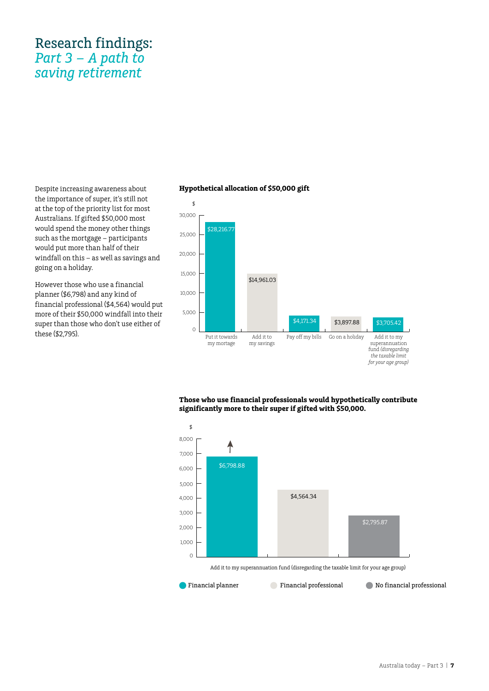Despite increasing awareness about the importance of super, it's still not at the top of the priority list for most Australians. If gifted \$50,000 most would spend the money other things such as the mortgage – participants would put more than half of their windfall on this – as well as savings and going on a holiday.

However those who use a financial planner (\$6,798) and any kind of financial professional (\$4,564) would put more of their \$50,000 windfall into their super than those who don't use either of these (\$2,795).

### **Hypothetical allocation of \$50,000 gift**



**Those who use financial professionals would hypothetically contribute significantly more to their super if gifted with \$50,000.**

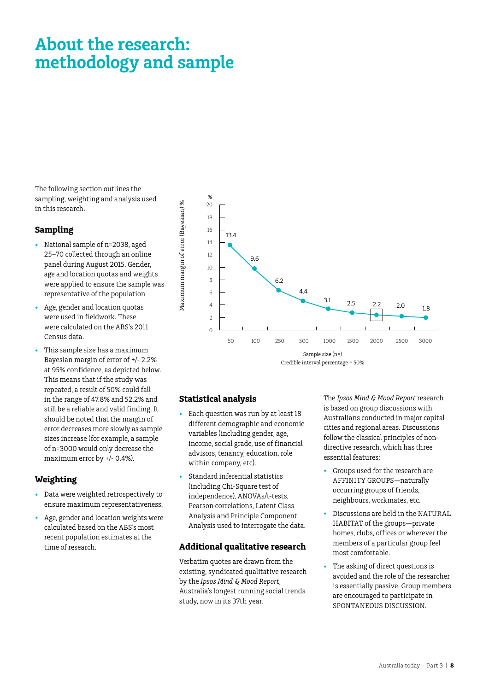# <span id="page-7-0"></span>**About the research: methodology and sample**

The following section outlines the sampling, weighting and analysis used in this research.

### **Sampling**

- National sample of n=2038, aged 25–70 collected through an online panel during August 2015. Gender, age and location quotas and weights were applied to ensure the sample was representative of the population
- Age, gender and location quotas were used in fieldwork. These were calculated on the ABS's 2011 Census data.
- This sample size has a maximum Bayesian margin of error of +/- 2.2% at 95% confidence, as depicted below. This means that if the study was repeated, a result of 50% could fall in the range of 47.8% and 52.2% and still be a reliable and valid finding. It should be noted that the margin of error decreases more slowly as sample sizes increase (for example, a sample of n=3000 would only decrease the maximum error by +/- 0.4%).

# **Weighting**

- Data were weighted retrospectively to ensure maximum representativeness.
- Age, gender and location weights were calculated based on the ABS's most recent population estimates at the time of research.



#### **Statistical analysis**

- Each question was run by at least 18 different demographic and economic variables (including gender, age, income, social grade, use of financial advisors, tenancy, education, role within company, etc).
- Standard inferential statistics (including Chi-Square test of independence), ANOVAs/t-tests, Pearson correlations, Latent Class Analysis and Principle Component Analysis used to interrogate the data.

### **Additional qualitative research**

Verbatim quotes are drawn from the existing, syndicated qualitative research by the *Ipsos Mind & Mood Report*, Australia's longest running social trends study, now in its 37th year.

The *Ipsos Mind & Mood Report* research is based on group discussions with Australians conducted in major capital cities and regional areas. Discussions follow the classical principles of nondirective research, which has three essential features:

- Groups used for the research are AFFINITY GROUPS—naturally occurring groups of friends, neighbours, workmates, etc.
- Discussions are held in the NATURAL HABITAT of the groups—private homes, clubs, offices or wherever the members of a particular group feel most comfortable.
- The asking of direct questions is avoided and the role of the researcher is essentially passive. Group members are encouraged to participate in SPONTANEOUS DISCUSSION.